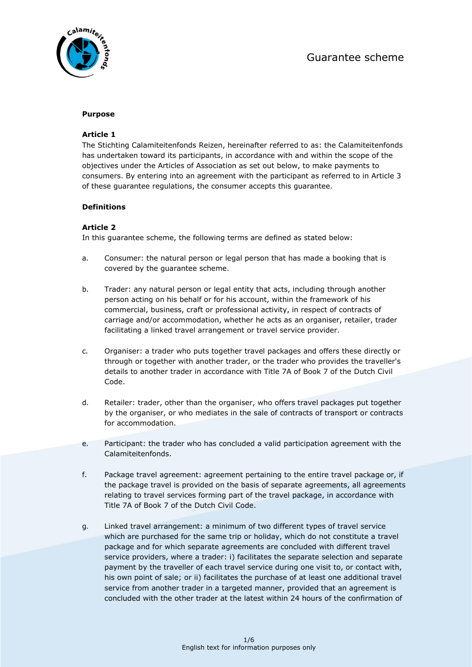

# **Purpose**

# **Article 1**

The Stichting Calamiteitenfonds Reizen, hereinafter referred to as: the Calamiteitenfonds has undertaken toward its participants, in accordance with and within the scope of the objectives under the Articles of Association as set out below, to make payments to consumers. By entering into an agreement with the participant as referred to in Article 3 of these guarantee regulations, the consumer accepts this guarantee.

# **Definitions**

# **Article 2**

In this guarantee scheme, the following terms are defined as stated below:

- a. Consumer: the natural person or legal person that has made a booking that is covered by the guarantee scheme.
- b. Trader: any natural person or legal entity that acts, including through another person acting on his behalf or for his account, within the framework of his commercial, business, craft or professional activity, in respect of contracts of carriage and/or accommodation, whether he acts as an organiser, retailer, trader facilitating a linked travel arrangement or travel service provider.
- c. Organiser: a trader who puts together travel packages and offers these directly or through or together with another trader, or the trader who provides the traveller's details to another trader in accordance with Title 7A of Book 7 of the Dutch Civil Code.
- d. Retailer: trader, other than the organiser, who offers travel packages put together by the organiser, or who mediates in the sale of contracts of transport or contracts for accommodation.
- e. Participant: the trader who has concluded a valid participation agreement with the Calamiteitenfonds.
- f. Package travel agreement: agreement pertaining to the entire travel package or, if the package travel is provided on the basis of separate agreements, all agreements relating to travel services forming part of the travel package, in accordance with Title 7A of Book 7 of the Dutch Civil Code.
- g. Linked travel arrangement: a minimum of two different types of travel service which are purchased for the same trip or holiday, which do not constitute a travel package and for which separate agreements are concluded with different travel service providers, where a trader: i) facilitates the separate selection and separate payment by the traveller of each travel service during one visit to, or contact with, his own point of sale; or ii) facilitates the purchase of at least one additional travel service from another trader in a targeted manner, provided that an agreement is concluded with the other trader at the latest within 24 hours of the confirmation of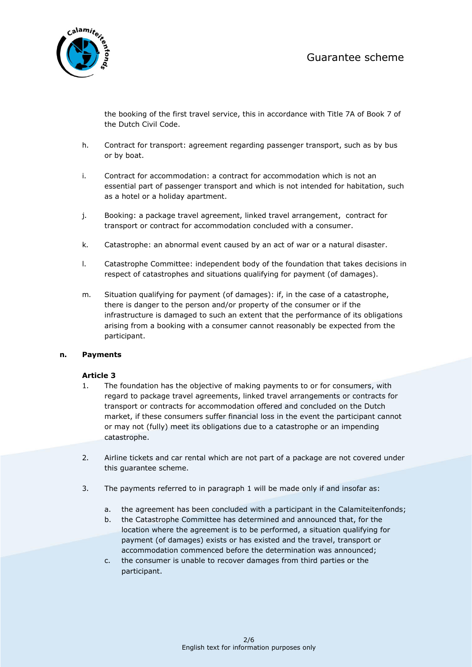

the booking of the first travel service, this in accordance with Title 7A of Book 7 of the Dutch Civil Code.

- h. Contract for transport: agreement regarding passenger transport, such as by bus or by boat.
- i. Contract for accommodation: a contract for accommodation which is not an essential part of passenger transport and which is not intended for habitation, such as a hotel or a holiday apartment.
- j. Booking: a package travel agreement, linked travel arrangement, contract for transport or contract for accommodation concluded with a consumer.
- k. Catastrophe: an abnormal event caused by an act of war or a natural disaster.
- l. Catastrophe Committee: independent body of the foundation that takes decisions in respect of catastrophes and situations qualifying for payment (of damages).
- m. Situation qualifying for payment (of damages): if, in the case of a catastrophe, there is danger to the person and/or property of the consumer or if the infrastructure is damaged to such an extent that the performance of its obligations arising from a booking with a consumer cannot reasonably be expected from the participant.

## **n. Payments**

- 1. The foundation has the objective of making payments to or for consumers, with regard to package travel agreements, linked travel arrangements or contracts for transport or contracts for accommodation offered and concluded on the Dutch market, if these consumers suffer financial loss in the event the participant cannot or may not (fully) meet its obligations due to a catastrophe or an impending catastrophe.
- 2. Airline tickets and car rental which are not part of a package are not covered under this guarantee scheme.
- 3. The payments referred to in paragraph 1 will be made only if and insofar as:
	- a. the agreement has been concluded with a participant in the Calamiteitenfonds;
	- b. the Catastrophe Committee has determined and announced that, for the location where the agreement is to be performed, a situation qualifying for payment (of damages) exists or has existed and the travel, transport or accommodation commenced before the determination was announced;
	- c. the consumer is unable to recover damages from third parties or the participant.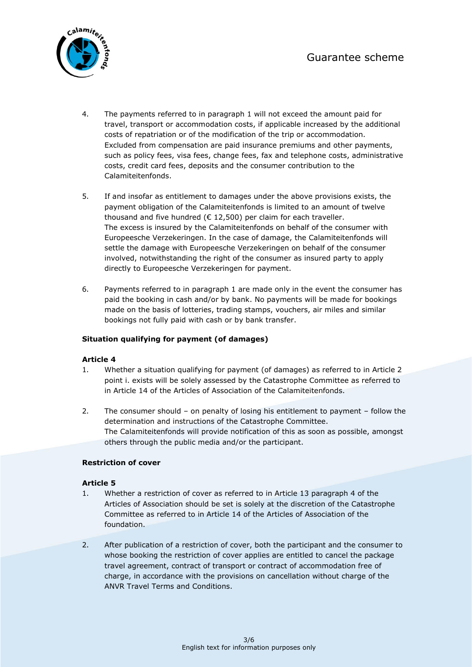

- 4. The payments referred to in paragraph 1 will not exceed the amount paid for travel, transport or accommodation costs, if applicable increased by the additional costs of repatriation or of the modification of the trip or accommodation. Excluded from compensation are paid insurance premiums and other payments, such as policy fees, visa fees, change fees, fax and telephone costs, administrative costs, credit card fees, deposits and the consumer contribution to the Calamiteitenfonds.
- 5. If and insofar as entitlement to damages under the above provisions exists, the payment obligation of the Calamiteitenfonds is limited to an amount of twelve thousand and five hundred ( $\epsilon$  12,500) per claim for each traveller. The excess is insured by the Calamiteitenfonds on behalf of the consumer with Europeesche Verzekeringen. In the case of damage, the Calamiteitenfonds will settle the damage with Europeesche Verzekeringen on behalf of the consumer involved, notwithstanding the right of the consumer as insured party to apply directly to Europeesche Verzekeringen for payment.
- 6. Payments referred to in paragraph 1 are made only in the event the consumer has paid the booking in cash and/or by bank. No payments will be made for bookings made on the basis of lotteries, trading stamps, vouchers, air miles and similar bookings not fully paid with cash or by bank transfer.

# **Situation qualifying for payment (of damages)**

## **Article 4**

- 1. Whether a situation qualifying for payment (of damages) as referred to in Article 2 point i. exists will be solely assessed by the Catastrophe Committee as referred to in Article 14 of the Articles of Association of the Calamiteitenfonds.
- 2. The consumer should on penalty of losing his entitlement to payment follow the determination and instructions of the Catastrophe Committee. The Calamiteitenfonds will provide notification of this as soon as possible, amongst others through the public media and/or the participant.

## **Restriction of cover**

- 1. Whether a restriction of cover as referred to in Article 13 paragraph 4 of the Articles of Association should be set is solely at the discretion of the Catastrophe Committee as referred to in Article 14 of the Articles of Association of the foundation.
- 2. After publication of a restriction of cover, both the participant and the consumer to whose booking the restriction of cover applies are entitled to cancel the package travel agreement, contract of transport or contract of accommodation free of charge, in accordance with the provisions on cancellation without charge of the ANVR Travel Terms and Conditions.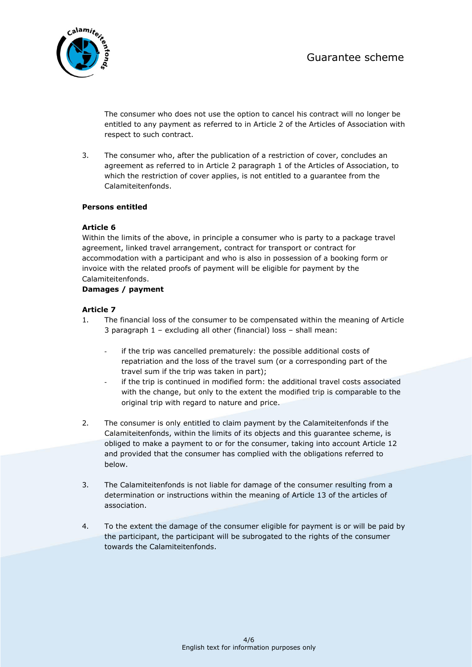

The consumer who does not use the option to cancel his contract will no longer be entitled to any payment as referred to in Article 2 of the Articles of Association with respect to such contract.

3. The consumer who, after the publication of a restriction of cover, concludes an agreement as referred to in Article 2 paragraph 1 of the Articles of Association, to which the restriction of cover applies, is not entitled to a guarantee from the Calamiteitenfonds.

# **Persons entitled**

# **Article 6**

Within the limits of the above, in principle a consumer who is party to a package travel agreement, linked travel arrangement, contract for transport or contract for accommodation with a participant and who is also in possession of a booking form or invoice with the related proofs of payment will be eligible for payment by the Calamiteitenfonds.

# **Damages / payment**

- 1. The financial loss of the consumer to be compensated within the meaning of Article 3 paragraph 1 – excluding all other (financial) loss – shall mean:
	- if the trip was cancelled prematurely: the possible additional costs of repatriation and the loss of the travel sum (or a corresponding part of the travel sum if the trip was taken in part);
	- if the trip is continued in modified form: the additional travel costs associated with the change, but only to the extent the modified trip is comparable to the original trip with regard to nature and price.
- 2. The consumer is only entitled to claim payment by the Calamiteitenfonds if the Calamiteitenfonds, within the limits of its objects and this guarantee scheme, is obliged to make a payment to or for the consumer, taking into account Article 12 and provided that the consumer has complied with the obligations referred to below.
- 3. The Calamiteitenfonds is not liable for damage of the consumer resulting from a determination or instructions within the meaning of Article 13 of the articles of association.
- 4. To the extent the damage of the consumer eligible for payment is or will be paid by the participant, the participant will be subrogated to the rights of the consumer towards the Calamiteitenfonds.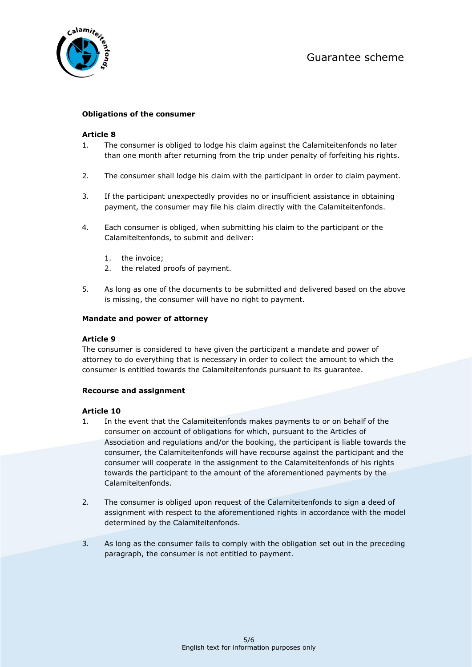

# **Obligations of the consumer**

### **Article 8**

- 1. The consumer is obliged to lodge his claim against the Calamiteitenfonds no later than one month after returning from the trip under penalty of forfeiting his rights.
- 2. The consumer shall lodge his claim with the participant in order to claim payment.
- 3. If the participant unexpectedly provides no or insufficient assistance in obtaining payment, the consumer may file his claim directly with the Calamiteitenfonds.
- 4. Each consumer is obliged, when submitting his claim to the participant or the Calamiteitenfonds, to submit and deliver:
	- 1. the invoice;
	- 2. the related proofs of payment.
- 5. As long as one of the documents to be submitted and delivered based on the above is missing, the consumer will have no right to payment.

### **Mandate and power of attorney**

## **Article 9**

The consumer is considered to have given the participant a mandate and power of attorney to do everything that is necessary in order to collect the amount to which the consumer is entitled towards the Calamiteitenfonds pursuant to its guarantee.

### **Recourse and assignment**

- 1. In the event that the Calamiteitenfonds makes payments to or on behalf of the consumer on account of obligations for which, pursuant to the Articles of Association and regulations and/or the booking, the participant is liable towards the consumer, the Calamiteitenfonds will have recourse against the participant and the consumer will cooperate in the assignment to the Calamiteitenfonds of his rights towards the participant to the amount of the aforementioned payments by the Calamiteitenfonds.
- 2. The consumer is obliged upon request of the Calamiteitenfonds to sign a deed of assignment with respect to the aforementioned rights in accordance with the model determined by the Calamiteitenfonds.
- 3. As long as the consumer fails to comply with the obligation set out in the preceding paragraph, the consumer is not entitled to payment.